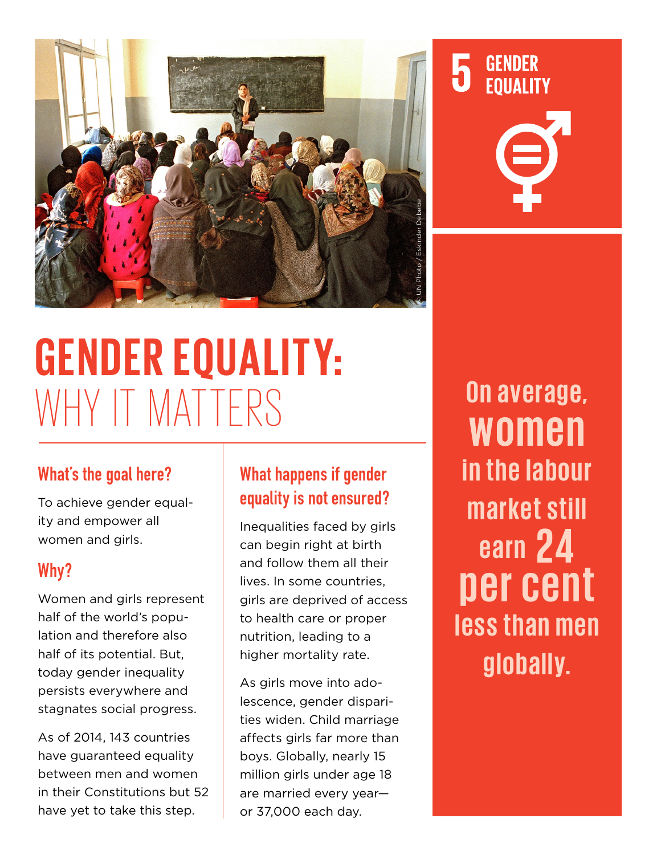

# **GENDER EQUALITY:**  WHY IT MATTERS

### What's the goal here?

To achieve gender equality and empower all women and girls.

### Why?

Women and girls represent half of the world's population and therefore also half of its potential. But, today gender inequality persists everywhere and stagnates social progress.

As of 2014, 143 countries have guaranteed equality between men and women in their Constitutions but 52 have yet to take this step.

# What happens if gender equality is not ensured?

Inequalities faced by girls can begin right at birth and follow them all their lives. In some countries, girls are deprived of access to health care or proper nutrition, leading to a higher mortality rate.

As girls move into adolescence, gender disparities widen. Child marriage affects girls far more than boys. Globally, nearly 15 million girls under age 18 are married every year or 37,000 each day.

**On average, women in the labour market still earn 24 per cent less than men globally.**

**GENDER** 

**EQUALITY** 

5